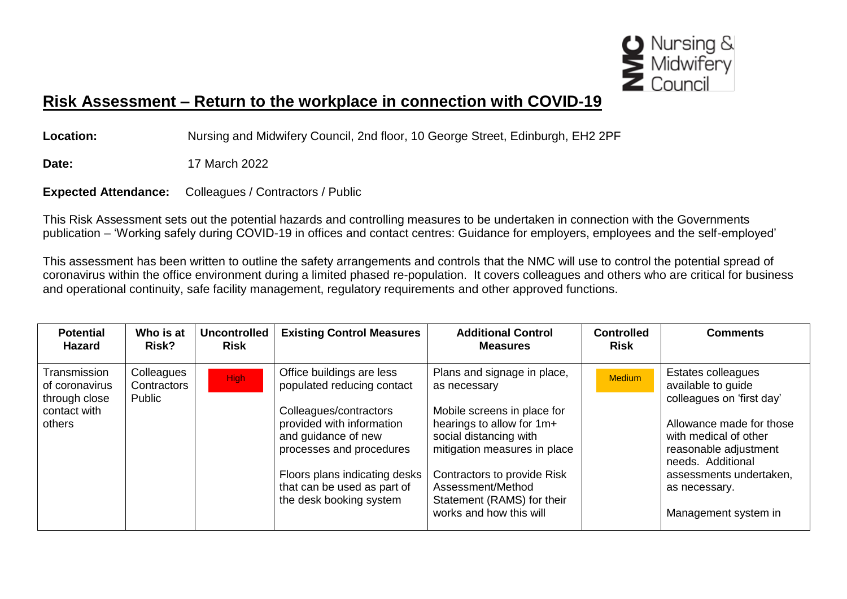

## **Risk Assessment – Return to the workplace in connection with COVID-19**

**Location:** Nursing and Midwifery Council, 2nd floor, 10 George Street, Edinburgh, EH2 2PF

**Date:** 17 March 2022

**Expected Attendance:** Colleagues / Contractors / Public

This Risk Assessment sets out the potential hazards and controlling measures to be undertaken in connection with the Governments publication – 'Working safely during COVID-19 in offices and contact centres: Guidance for employers, employees and the self-employed'

This assessment has been written to outline the safety arrangements and controls that the NMC will use to control the potential spread of coronavirus within the office environment during a limited phased re-population. It covers colleagues and others who are critical for business and operational continuity, safe facility management, regulatory requirements and other approved functions.

| <b>Potential</b><br><b>Hazard</b>                                         | Who is at<br>Risk?                  | <b>Uncontrolled</b><br><b>Risk</b> | <b>Existing Control Measures</b>                                                                                                                                                                                                                             | <b>Additional Control</b><br><b>Measures</b>                                                                                                                                                                                                                                   | <b>Controlled</b><br><b>Risk</b> | <b>Comments</b>                                                                                                                                                                                                                              |
|---------------------------------------------------------------------------|-------------------------------------|------------------------------------|--------------------------------------------------------------------------------------------------------------------------------------------------------------------------------------------------------------------------------------------------------------|--------------------------------------------------------------------------------------------------------------------------------------------------------------------------------------------------------------------------------------------------------------------------------|----------------------------------|----------------------------------------------------------------------------------------------------------------------------------------------------------------------------------------------------------------------------------------------|
| Transmission<br>of coronavirus<br>through close<br>contact with<br>others | Colleagues<br>Contractors<br>Public | <b>High</b>                        | Office buildings are less<br>populated reducing contact<br>Colleagues/contractors<br>provided with information<br>and guidance of new<br>processes and procedures<br>Floors plans indicating desks<br>that can be used as part of<br>the desk booking system | Plans and signage in place,<br>as necessary<br>Mobile screens in place for<br>hearings to allow for 1m+<br>social distancing with<br>mitigation measures in place<br>Contractors to provide Risk<br>Assessment/Method<br>Statement (RAMS) for their<br>works and how this will | Medium                           | Estates colleagues<br>available to guide<br>colleagues on 'first day'<br>Allowance made for those<br>with medical of other<br>reasonable adjustment<br>needs. Additional<br>assessments undertaken,<br>as necessary.<br>Management system in |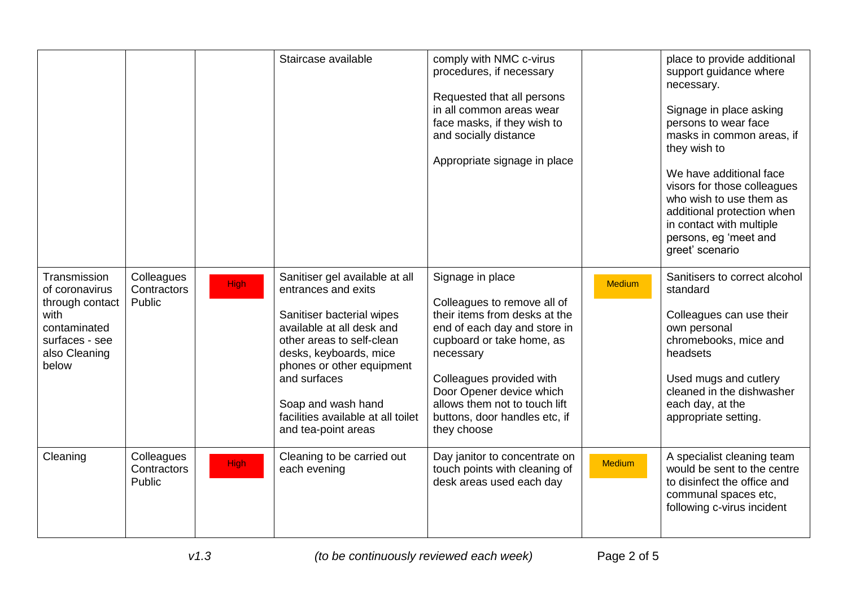|                                                                                                                       |                                     |             | Staircase available                                                                                                                                                                                                                                                                                    | comply with NMC c-virus<br>procedures, if necessary<br>Requested that all persons<br>in all common areas wear<br>face masks, if they wish to<br>and socially distance<br>Appropriate signage in place                                                                                               |               | place to provide additional<br>support guidance where<br>necessary.<br>Signage in place asking<br>persons to wear face<br>masks in common areas, if<br>they wish to<br>We have additional face<br>visors for those colleagues<br>who wish to use them as<br>additional protection when<br>in contact with multiple<br>persons, eg 'meet and<br>greet' scenario |
|-----------------------------------------------------------------------------------------------------------------------|-------------------------------------|-------------|--------------------------------------------------------------------------------------------------------------------------------------------------------------------------------------------------------------------------------------------------------------------------------------------------------|-----------------------------------------------------------------------------------------------------------------------------------------------------------------------------------------------------------------------------------------------------------------------------------------------------|---------------|----------------------------------------------------------------------------------------------------------------------------------------------------------------------------------------------------------------------------------------------------------------------------------------------------------------------------------------------------------------|
| Transmission<br>of coronavirus<br>through contact<br>with<br>contaminated<br>surfaces - see<br>also Cleaning<br>below | Colleagues<br>Contractors<br>Public | <b>High</b> | Sanitiser gel available at all<br>entrances and exits<br>Sanitiser bacterial wipes<br>available at all desk and<br>other areas to self-clean<br>desks, keyboards, mice<br>phones or other equipment<br>and surfaces<br>Soap and wash hand<br>facilities available at all toilet<br>and tea-point areas | Signage in place<br>Colleagues to remove all of<br>their items from desks at the<br>end of each day and store in<br>cupboard or take home, as<br>necessary<br>Colleagues provided with<br>Door Opener device which<br>allows them not to touch lift<br>buttons, door handles etc, if<br>they choose | <b>Medium</b> | Sanitisers to correct alcohol<br>standard<br>Colleagues can use their<br>own personal<br>chromebooks, mice and<br>headsets<br>Used mugs and cutlery<br>cleaned in the dishwasher<br>each day, at the<br>appropriate setting.                                                                                                                                   |
| Cleaning                                                                                                              | Colleagues<br>Contractors<br>Public | <b>High</b> | Cleaning to be carried out<br>each evening                                                                                                                                                                                                                                                             | Day janitor to concentrate on<br>touch points with cleaning of<br>desk areas used each day                                                                                                                                                                                                          | <b>Medium</b> | A specialist cleaning team<br>would be sent to the centre<br>to disinfect the office and<br>communal spaces etc,<br>following c-virus incident                                                                                                                                                                                                                 |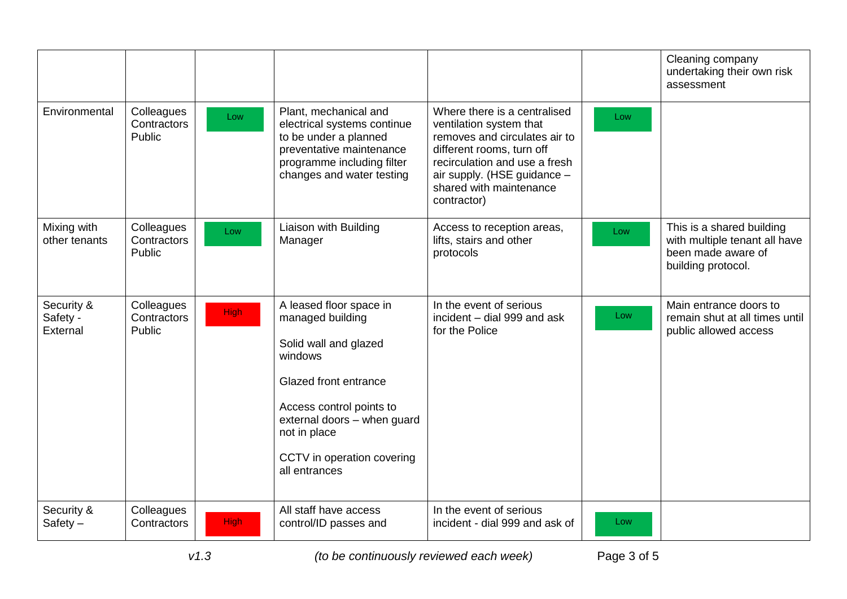|                                    |                                     |             |                                                                                                                                                                                                                                           |                                                                                                                                                                                                                                 |     | Cleaning company<br>undertaking their own risk<br>assessment                                           |
|------------------------------------|-------------------------------------|-------------|-------------------------------------------------------------------------------------------------------------------------------------------------------------------------------------------------------------------------------------------|---------------------------------------------------------------------------------------------------------------------------------------------------------------------------------------------------------------------------------|-----|--------------------------------------------------------------------------------------------------------|
| Environmental                      | Colleagues<br>Contractors<br>Public | Low         | Plant, mechanical and<br>electrical systems continue<br>to be under a planned<br>preventative maintenance<br>programme including filter<br>changes and water testing                                                                      | Where there is a centralised<br>ventilation system that<br>removes and circulates air to<br>different rooms, turn off<br>recirculation and use a fresh<br>air supply. (HSE guidance -<br>shared with maintenance<br>contractor) | Low |                                                                                                        |
| Mixing with<br>other tenants       | Colleagues<br>Contractors<br>Public | Low         | Liaison with Building<br>Manager                                                                                                                                                                                                          | Access to reception areas,<br>lifts, stairs and other<br>protocols                                                                                                                                                              | Low | This is a shared building<br>with multiple tenant all have<br>been made aware of<br>building protocol. |
| Security &<br>Safety -<br>External | Colleagues<br>Contractors<br>Public | <b>High</b> | A leased floor space in<br>managed building<br>Solid wall and glazed<br>windows<br><b>Glazed front entrance</b><br>Access control points to<br>external doors - when guard<br>not in place<br>CCTV in operation covering<br>all entrances | In the event of serious<br>incident - dial 999 and ask<br>for the Police                                                                                                                                                        | Low | Main entrance doors to<br>remain shut at all times until<br>public allowed access                      |
| Security &<br>$Safety -$           | Colleagues<br>Contractors           | <b>High</b> | All staff have access<br>control/ID passes and                                                                                                                                                                                            | In the event of serious<br>incident - dial 999 and ask of                                                                                                                                                                       | Low |                                                                                                        |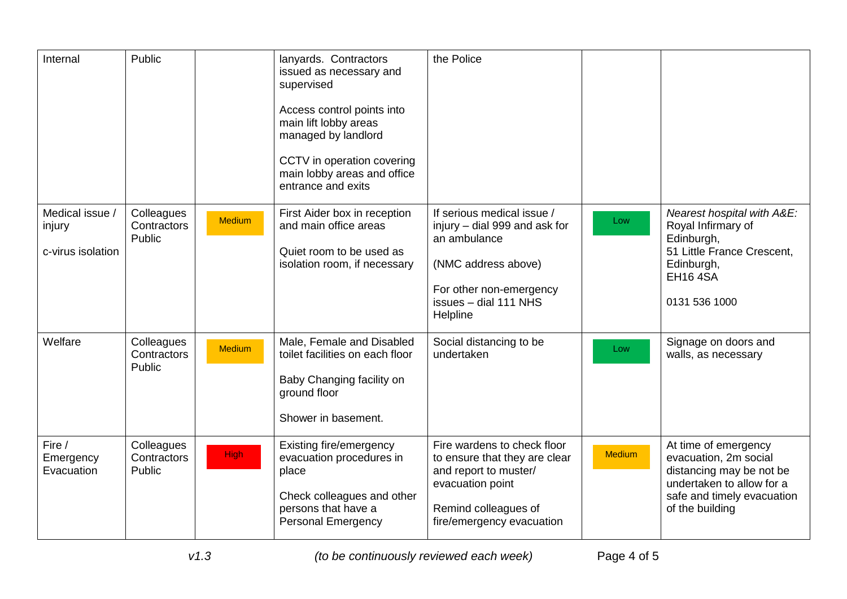| Internal                                       | Public                              |               | lanyards. Contractors<br>issued as necessary and<br>supervised<br>Access control points into<br>main lift lobby areas<br>managed by landlord<br>CCTV in operation covering<br>main lobby areas and office<br>entrance and exits | the Police                                                                                                                                                         |        |                                                                                                                                                         |
|------------------------------------------------|-------------------------------------|---------------|---------------------------------------------------------------------------------------------------------------------------------------------------------------------------------------------------------------------------------|--------------------------------------------------------------------------------------------------------------------------------------------------------------------|--------|---------------------------------------------------------------------------------------------------------------------------------------------------------|
| Medical issue /<br>injury<br>c-virus isolation | Colleagues<br>Contractors<br>Public | <b>Medium</b> | First Aider box in reception<br>and main office areas<br>Quiet room to be used as<br>isolation room, if necessary                                                                                                               | If serious medical issue /<br>injury - dial 999 and ask for<br>an ambulance<br>(NMC address above)<br>For other non-emergency<br>issues - dial 111 NHS<br>Helpline | Low    | Nearest hospital with A&E:<br>Royal Infirmary of<br>Edinburgh,<br>51 Little France Crescent,<br>Edinburgh,<br><b>EH16 4SA</b><br>0131 536 1000          |
| Welfare                                        | Colleagues<br>Contractors<br>Public | Medium        | Male, Female and Disabled<br>toilet facilities on each floor<br>Baby Changing facility on<br>ground floor<br>Shower in basement.                                                                                                | Social distancing to be<br>undertaken                                                                                                                              | Low    | Signage on doors and<br>walls, as necessary                                                                                                             |
| Fire /<br>Emergency<br>Evacuation              | Colleagues<br>Contractors<br>Public | <b>High</b>   | Existing fire/emergency<br>evacuation procedures in<br>place<br>Check colleagues and other<br>persons that have a<br><b>Personal Emergency</b>                                                                                  | Fire wardens to check floor<br>to ensure that they are clear<br>and report to muster/<br>evacuation point<br>Remind colleagues of<br>fire/emergency evacuation     | Medium | At time of emergency<br>evacuation, 2m social<br>distancing may be not be<br>undertaken to allow for a<br>safe and timely evacuation<br>of the building |